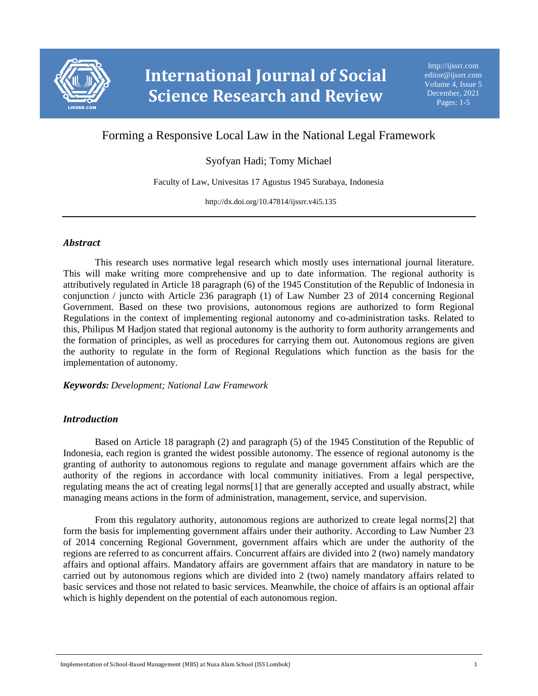

# Forming a Responsive Local Law in the National Legal Framework

## Syofyan Hadi; Tomy Michael

Faculty of Law, Univesitas 17 Agustus 1945 Surabaya, Indonesia

http://dx.doi.org/10.47814/ijssrr.v4i5.135

#### *Abstract*

This research uses normative legal research which mostly uses international journal literature. This will make writing more comprehensive and up to date information. The regional authority is attributively regulated in Article 18 paragraph (6) of the 1945 Constitution of the Republic of Indonesia in conjunction / juncto with Article 236 paragraph (1) of Law Number 23 of 2014 concerning Regional Government. Based on these two provisions, autonomous regions are authorized to form Regional Regulations in the context of implementing regional autonomy and co-administration tasks. Related to this, Philipus M Hadjon stated that regional autonomy is the authority to form authority arrangements and the formation of principles, as well as procedures for carrying them out. Autonomous regions are given the authority to regulate in the form of Regional Regulations which function as the basis for the implementation of autonomy.

*Keywords: Development; National Law Framework*

## *Introduction*

Based on Article 18 paragraph (2) and paragraph (5) of the 1945 Constitution of the Republic of Indonesia, each region is granted the widest possible autonomy. The essence of regional autonomy is the granting of authority to autonomous regions to regulate and manage government affairs which are the authority of the regions in accordance with local community initiatives. From a legal perspective, regulating means the act of creating legal norms[1] that are generally accepted and usually abstract, while managing means actions in the form of administration, management, service, and supervision.

From this regulatory authority, autonomous regions are authorized to create legal norms[2] that form the basis for implementing government affairs under their authority. According to Law Number 23 of 2014 concerning Regional Government, government affairs which are under the authority of the regions are referred to as concurrent affairs. Concurrent affairs are divided into 2 (two) namely mandatory affairs and optional affairs. Mandatory affairs are government affairs that are mandatory in nature to be carried out by autonomous regions which are divided into 2 (two) namely mandatory affairs related to basic services and those not related to basic services. Meanwhile, the choice of affairs is an optional affair which is highly dependent on the potential of each autonomous region.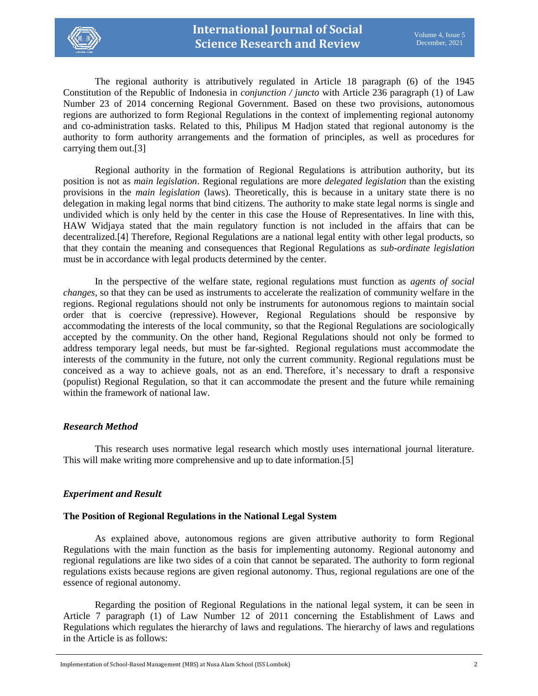

The regional authority is attributively regulated in Article 18 paragraph (6) of the 1945 Constitution of the Republic of Indonesia in *conjunction / juncto* with Article 236 paragraph (1) of Law Number 23 of 2014 concerning Regional Government. Based on these two provisions, autonomous regions are authorized to form Regional Regulations in the context of implementing regional autonomy and co-administration tasks. Related to this, Philipus M Hadjon stated that regional autonomy is the authority to form authority arrangements and the formation of principles, as well as procedures for carrying them out.[3]

Regional authority in the formation of Regional Regulations is attribution authority, but its position is not as *main legislation*. Regional regulations are more *delegated legislation* than the existing provisions in the *main legislation* (laws). Theoretically, this is because in a unitary state there is no delegation in making legal norms that bind citizens. The authority to make state legal norms is single and undivided which is only held by the center in this case the House of Representatives. In line with this, HAW Widjaya stated that the main regulatory function is not included in the affairs that can be decentralized.[4] Therefore, Regional Regulations are a national legal entity with other legal products, so that they contain the meaning and consequences that Regional Regulations as *sub-ordinate legislation* must be in accordance with legal products determined by the center.

In the perspective of the welfare state, regional regulations must function as *agents of social changes,* so that they can be used as instruments to accelerate the realization of community welfare in the regions. Regional regulations should not only be instruments for autonomous regions to maintain social order that is coercive (repressive). However, Regional Regulations should be responsive by accommodating the interests of the local community, so that the Regional Regulations are sociologically accepted by the community. On the other hand, Regional Regulations should not only be formed to address temporary legal needs, but must be far-sighted. Regional regulations must accommodate the interests of the community in the future, not only the current community. Regional regulations must be conceived as a way to achieve goals, not as an end. Therefore, it's necessary to draft a responsive (populist) Regional Regulation, so that it can accommodate the present and the future while remaining within the framework of national law.

#### *Research Method*

This research uses normative legal research which mostly uses international journal literature. This will make writing more comprehensive and up to date information.[5]

## *Experiment and Result*

#### **The Position of Regional Regulations in the National Legal System**

As explained above, autonomous regions are given attributive authority to form Regional Regulations with the main function as the basis for implementing autonomy. Regional autonomy and regional regulations are like two sides of a coin that cannot be separated. The authority to form regional regulations exists because regions are given regional autonomy. Thus, regional regulations are one of the essence of regional autonomy.

Regarding the position of Regional Regulations in the national legal system, it can be seen in Article 7 paragraph (1) of Law Number 12 of 2011 concerning the Establishment of Laws and Regulations which regulates the hierarchy of laws and regulations. The hierarchy of laws and regulations in the Article is as follows: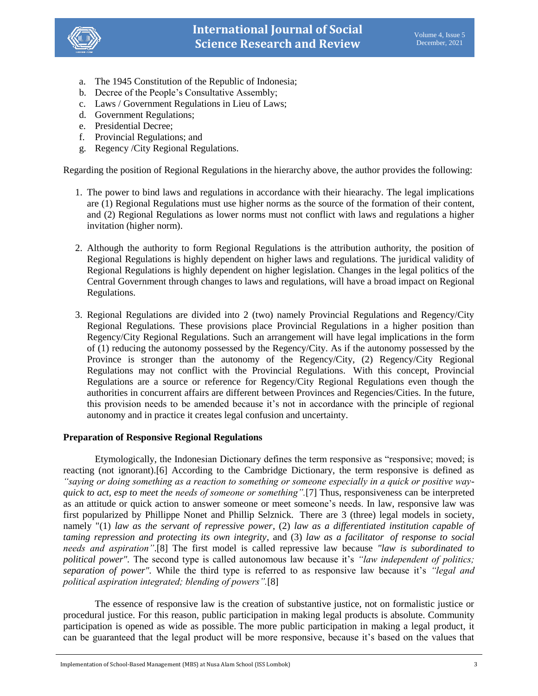

- a. The 1945 Constitution of the Republic of Indonesia;
- b. Decree of the People's Consultative Assembly;
- c. Laws / Government Regulations in Lieu of Laws;
- d. Government Regulations;
- e. Presidential Decree;
- f. Provincial Regulations; and
- g. Regency /City Regional Regulations.

Regarding the position of Regional Regulations in the hierarchy above, the author provides the following:

- 1. The power to bind laws and regulations in accordance with their hiearachy. The legal implications are (1) Regional Regulations must use higher norms as the source of the formation of their content, and (2) Regional Regulations as lower norms must not conflict with laws and regulations a higher invitation (higher norm).
- 2. Although the authority to form Regional Regulations is the attribution authority, the position of Regional Regulations is highly dependent on higher laws and regulations. The juridical validity of Regional Regulations is highly dependent on higher legislation. Changes in the legal politics of the Central Government through changes to laws and regulations, will have a broad impact on Regional Regulations.
- 3. Regional Regulations are divided into 2 (two) namely Provincial Regulations and Regency/City Regional Regulations. These provisions place Provincial Regulations in a higher position than Regency/City Regional Regulations. Such an arrangement will have legal implications in the form of (1) reducing the autonomy possessed by the Regency/City. As if the autonomy possessed by the Province is stronger than the autonomy of the Regency/City, (2) Regency/City Regional Regulations may not conflict with the Provincial Regulations. With this concept, Provincial Regulations are a source or reference for Regency/City Regional Regulations even though the authorities in concurrent affairs are different between Provinces and Regencies/Cities. In the future, this provision needs to be amended because it's not in accordance with the principle of regional autonomy and in practice it creates legal confusion and uncertainty.

#### **Preparation of Responsive Regional Regulations**

Etymologically, the Indonesian Dictionary defines the term responsive as "responsive; moved; is reacting (not ignorant).[6] According to the Cambridge Dictionary, the term responsive is defined as *"saying or doing something as a reaction to something or someone especially in a quick or positive wayquick to act, esp to meet the needs of someone or something".*[7] Thus, responsiveness can be interpreted as an attitude or quick action to answer someone or meet someone's needs. In law, responsive law was first popularized by Phillippe Nonet and Phillip Selznick. There are 3 (three) legal models in society, namely "(1) *law as the servant of repressive power*, (2) *law as a differentiated institution capable of taming repression and protecting its own integrity*, and (3) *law as a facilitator of response to social needs and aspiration"*.[8] The first model is called repressive law because *"law is subordinated to political power".* The second type is called autonomous law because it's *"law independent of politics; separation of power".* While the third type is referred to as responsive law because it's *"legal and political aspiration integrated; blending of powers".*[8]

The essence of responsive law is the creation of substantive justice, not on formalistic justice or procedural justice. For this reason, public participation in making legal products is absolute. Community participation is opened as wide as possible. The more public participation in making a legal product, it can be guaranteed that the legal product will be more responsive, because it's based on the values that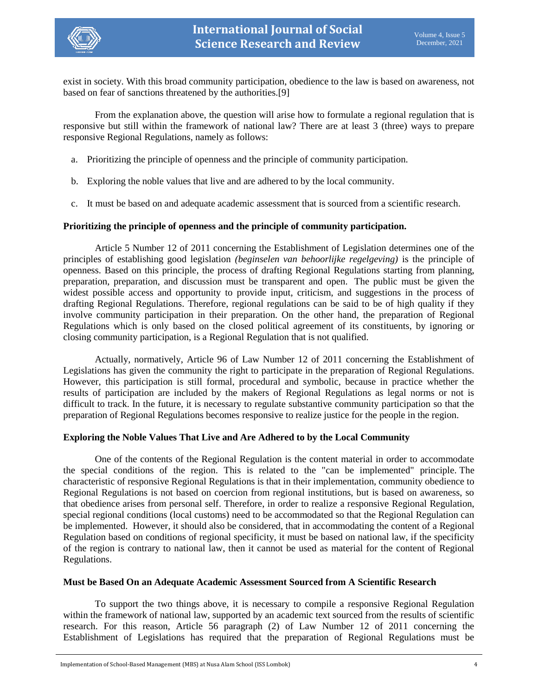

exist in society. With this broad community participation, obedience to the law is based on awareness, not based on fear of sanctions threatened by the authorities.[9]

From the explanation above, the question will arise how to formulate a regional regulation that is responsive but still within the framework of national law? There are at least 3 (three) ways to prepare responsive Regional Regulations, namely as follows:

- a. Prioritizing the principle of openness and the principle of community participation.
- b. Exploring the noble values that live and are adhered to by the local community.
- c. It must be based on and adequate academic assessment that is sourced from a scientific research.

#### **Prioritizing the principle of openness and the principle of community participation.**

Article 5 Number 12 of 2011 concerning the Establishment of Legislation determines one of the principles of establishing good legislation *(beginselen van behoorlijke regelgeving)* is the principle of openness. Based on this principle, the process of drafting Regional Regulations starting from planning, preparation, preparation, and discussion must be transparent and open. The public must be given the widest possible access and opportunity to provide input, criticism, and suggestions in the process of drafting Regional Regulations. Therefore, regional regulations can be said to be of high quality if they involve community participation in their preparation. On the other hand, the preparation of Regional Regulations which is only based on the closed political agreement of its constituents, by ignoring or closing community participation, is a Regional Regulation that is not qualified.

Actually, normatively, Article 96 of Law Number 12 of 2011 concerning the Establishment of Legislations has given the community the right to participate in the preparation of Regional Regulations. However, this participation is still formal, procedural and symbolic, because in practice whether the results of participation are included by the makers of Regional Regulations as legal norms or not is difficult to track. In the future, it is necessary to regulate substantive community participation so that the preparation of Regional Regulations becomes responsive to realize justice for the people in the region.

#### **Exploring the Noble Values That Live and Are Adhered to by the Local Community**

One of the contents of the Regional Regulation is the content material in order to accommodate the special conditions of the region. This is related to the "can be implemented" principle. The characteristic of responsive Regional Regulations is that in their implementation, community obedience to Regional Regulations is not based on coercion from regional institutions, but is based on awareness, so that obedience arises from personal self. Therefore, in order to realize a responsive Regional Regulation, special regional conditions (local customs) need to be accommodated so that the Regional Regulation can be implemented. However, it should also be considered, that in accommodating the content of a Regional Regulation based on conditions of regional specificity, it must be based on national law, if the specificity of the region is contrary to national law, then it cannot be used as material for the content of Regional Regulations.

#### **Must be Based On an Adequate Academic Assessment Sourced from A Scientific Research**

To support the two things above, it is necessary to compile a responsive Regional Regulation within the framework of national law, supported by an academic text sourced from the results of scientific research. For this reason, Article 56 paragraph (2) of Law Number 12 of 2011 concerning the Establishment of Legislations has required that the preparation of Regional Regulations must be